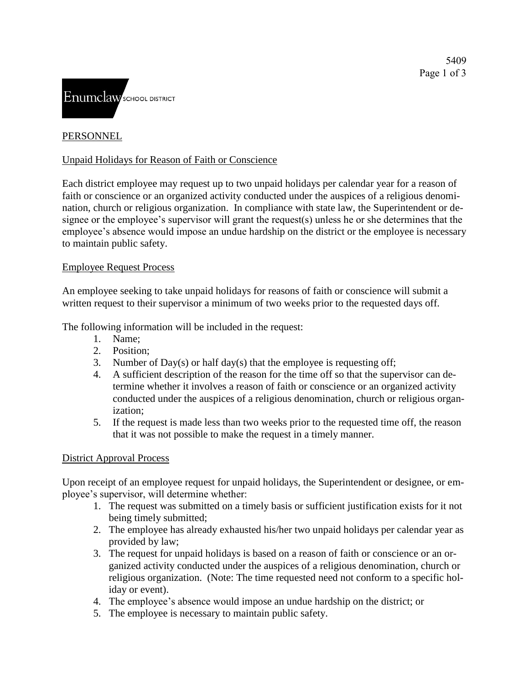

## **PERSONNEL**

### Unpaid Holidays for Reason of Faith or Conscience

Each district employee may request up to two unpaid holidays per calendar year for a reason of faith or conscience or an organized activity conducted under the auspices of a religious denomination, church or religious organization. In compliance with state law, the Superintendent or designee or the employee's supervisor will grant the request(s) unless he or she determines that the employee's absence would impose an undue hardship on the district or the employee is necessary to maintain public safety.

#### Employee Request Process

An employee seeking to take unpaid holidays for reasons of faith or conscience will submit a written request to their supervisor a minimum of two weeks prior to the requested days off.

The following information will be included in the request:

- 1. Name;
- 2. Position;
- 3. Number of Day(s) or half day(s) that the employee is requesting off;
- 4. A sufficient description of the reason for the time off so that the supervisor can determine whether it involves a reason of faith or conscience or an organized activity conducted under the auspices of a religious denomination, church or religious organization;
- 5. If the request is made less than two weeks prior to the requested time off, the reason that it was not possible to make the request in a timely manner.

#### District Approval Process

Upon receipt of an employee request for unpaid holidays, the Superintendent or designee, or employee's supervisor, will determine whether:

- 1. The request was submitted on a timely basis or sufficient justification exists for it not being timely submitted;
- 2. The employee has already exhausted his/her two unpaid holidays per calendar year as provided by law;
- 3. The request for unpaid holidays is based on a reason of faith or conscience or an organized activity conducted under the auspices of a religious denomination, church or religious organization. (Note: The time requested need not conform to a specific holiday or event).
- 4. The employee's absence would impose an undue hardship on the district; or
- 5. The employee is necessary to maintain public safety.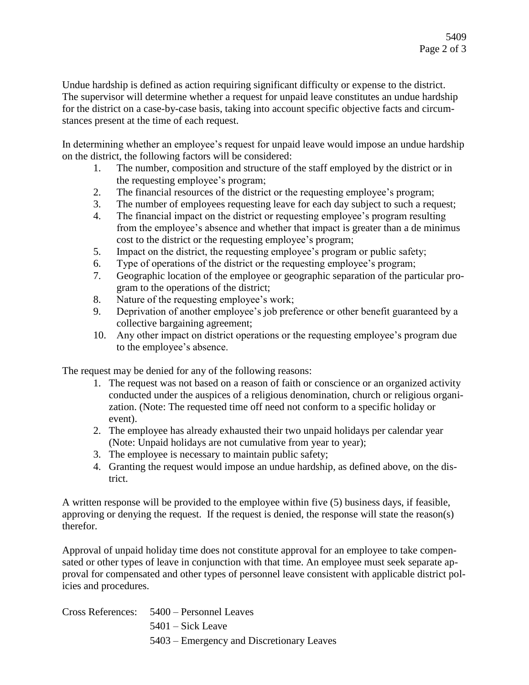Undue hardship is defined as action requiring significant difficulty or expense to the district. The supervisor will determine whether a request for unpaid leave constitutes an undue hardship for the district on a case-by-case basis, taking into account specific objective facts and circumstances present at the time of each request.

In determining whether an employee's request for unpaid leave would impose an undue hardship on the district, the following factors will be considered:

- 1. The number, composition and structure of the staff employed by the district or in the requesting employee's program;
- 2. The financial resources of the district or the requesting employee's program;
- 3. The number of employees requesting leave for each day subject to such a request;
- 4. The financial impact on the district or requesting employee's program resulting from the employee's absence and whether that impact is greater than a de minimus cost to the district or the requesting employee's program;
- 5. Impact on the district, the requesting employee's program or public safety;
- 6. Type of operations of the district or the requesting employee's program;
- 7. Geographic location of the employee or geographic separation of the particular program to the operations of the district;
- 8. Nature of the requesting employee's work;
- 9. Deprivation of another employee's job preference or other benefit guaranteed by a collective bargaining agreement;
- 10. Any other impact on district operations or the requesting employee's program due to the employee's absence.

The request may be denied for any of the following reasons:

- 1. The request was not based on a reason of faith or conscience or an organized activity conducted under the auspices of a religious denomination, church or religious organization. (Note: The requested time off need not conform to a specific holiday or event).
- 2. The employee has already exhausted their two unpaid holidays per calendar year (Note: Unpaid holidays are not cumulative from year to year);
- 3. The employee is necessary to maintain public safety;
- 4. Granting the request would impose an undue hardship, as defined above, on the district.

A written response will be provided to the employee within five (5) business days, if feasible, approving or denying the request. If the request is denied, the response will state the reason(s) therefor.

Approval of unpaid holiday time does not constitute approval for an employee to take compensated or other types of leave in conjunction with that time. An employee must seek separate approval for compensated and other types of personnel leave consistent with applicable district policies and procedures.

|  | Cross References: 5400 – Personnel Leaves |
|--|-------------------------------------------|
|  | $5401 - Sick$ Leave                       |
|  | 5403 – Emergency and Discretionary Leaves |